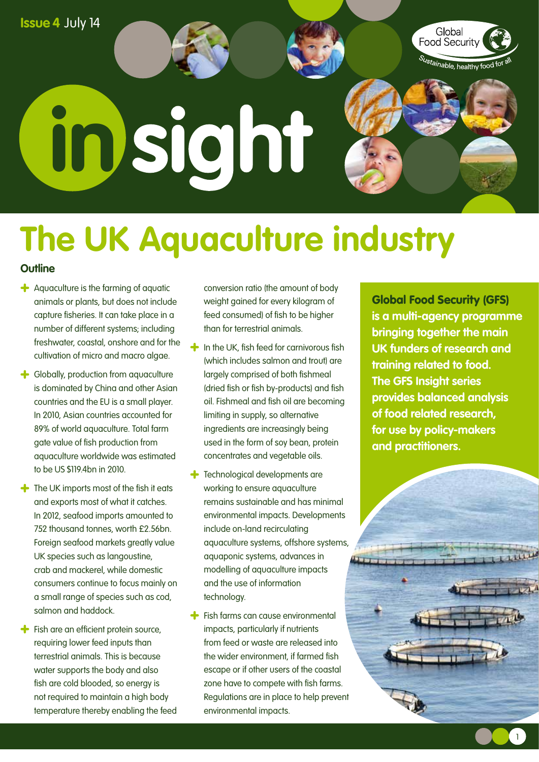

# **in**

# **The UK Aquaculture industry**

#### **Outline**

- Aquaculture is the farming of aquatic animals or plants, but does not include capture fisheries. It can take place in a number of different systems; including freshwater, coastal, onshore and for the cultivation of micro and macro algae.
- Globally, production from aquaculture is dominated by China and other Asian countries and the EU is a small player. In 2010, Asian countries accounted for 89% of world aquaculture. Total farm gate value of fish production from aquaculture worldwide was estimated to be US \$119.4bn in 2010.
- $\triangle$  The UK imports most of the fish it eats and exports most of what it catches. In 2012, seafood imports amounted to 752 thousand tonnes, worth £2.56bn. Foreign seafood markets greatly value UK species such as langoustine, crab and mackerel, while domestic consumers continue to focus mainly on a small range of species such as cod, salmon and haddock.
- $\div$  Fish are an efficient protein source, requiring lower feed inputs than terrestrial animals. This is because water supports the body and also fish are cold blooded, so energy is not required to maintain a high body temperature thereby enabling the feed

conversion ratio (the amount of body weight gained for every kilogram of feed consumed) of fish to be higher than for terrestrial animals.

- $\big\uparrow$  In the UK, fish feed for carnivorous fish (which includes salmon and trout) are largely comprised of both fishmeal (dried fish or fish by-products) and fish oil. Fishmeal and fish oil are becoming limiting in supply, so alternative ingredients are increasingly being used in the form of soy bean, protein concentrates and vegetable oils.
- **+** Technological developments are working to ensure aquaculture remains sustainable and has minimal environmental impacts. Developments include on-land recirculating aquaculture systems, offshore systems, aquaponic systems, advances in modelling of aquaculture impacts and the use of information technology.
- **+** Fish farms can cause environmental impacts, particularly if nutrients from feed or waste are released into the wider environment, if farmed fish escape or if other users of the coastal zone have to compete with fish farms. Regulations are in place to help prevent environmental impacts.

Global Food Security (GFS) **is a multi-agency programme bringing together the main UK funders of research and training related to food. The GFS Insight series provides balanced analysis of food related research, for use by policy-makers and practitioners.** 

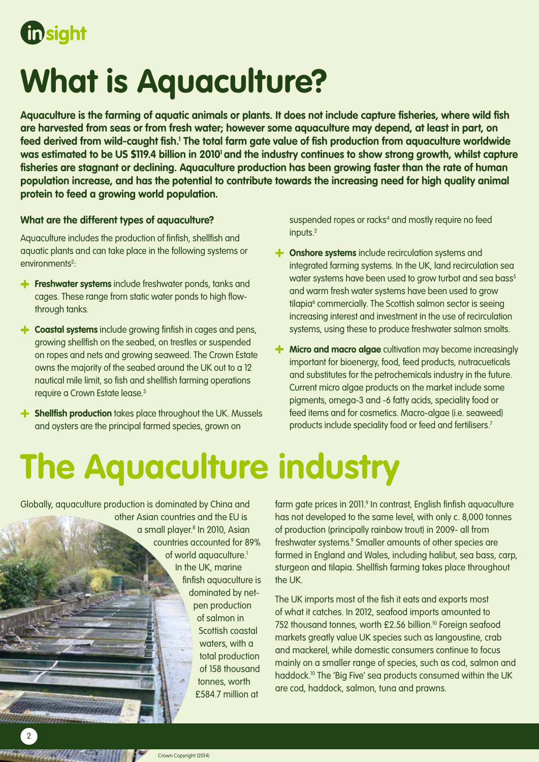

# **What is Aquaculture?**

**Aquaculture is the farming of aquatic animals or plants. It does not include capture fisheries, where wild fish are harvested from seas or from fresh water; however some aquaculture may depend, at least in part, on**  feed derived from wild-caught fish.<sup>1</sup> The total farm gate value of fish production from aquaculture worldwide was estimated to be US \$119.4 billion in 2010<sup>1</sup> and the industry continues to show strong growth, whilst capture **fisheries are stagnant or declining. Aquaculture production has been growing faster than the rate of human population increase, and has the potential to contribute towards the increasing need for high quality animal protein to feed a growing world population.** 

#### **What are the different types of aquaculture?**

Aquaculture includes the production of finfish, shellfish and aquatic plants and can take place in the following systems or environments<sup>2</sup>:

- **Freshwater systems** include freshwater ponds, tanks and cages. These range from static water ponds to high flowthrough tanks.
- **Coastal systems** include growing finfish in cages and pens, growing shellfish on the seabed, on trestles or suspended on ropes and nets and growing seaweed. The Crown Estate owns the majority of the seabed around the UK out to a 12 nautical mile limit, so fish and shellfish farming operations require a Crown Estate lease.3
- **Shellfish production** takes place throughout the UK. Mussels and oysters are the principal farmed species, grown on

suspended ropes or racks<sup>4</sup> and mostly require no feed inputs.<sup>2</sup>

- $\uparrow$  **Onshore systems** include recirculation systems and integrated farming systems. In the UK, land recirculation sea water systems have been used to grow turbot and sea bass<sup>5</sup> and warm fresh water systems have been used to grow tilapia<sup>6</sup> commercially. The Scottish salmon sector is seeing increasing interest and investment in the use of recirculation systems, using these to produce freshwater salmon smolts.
- $\uparrow$  **Micro and macro algae** cultivation may become increasingly important for bioenergy, food, feed products, nutracueticals and substitutes for the petrochemicals industry in the future. Current micro algae products on the market include some pigments, omega-3 and -6 fatty acids, speciality food or feed items and for cosmetics. Macro-algae (i.e. seaweed) products include speciality food or feed and fertilisers.7

# **The Aquaculture industry**

Globally, aquaculture production is dominated by China and other Asian countries and the EU is a small player.8 In 2010, Asian countries accounted for 89% of world aquaculture.<sup>1</sup> In the UK, marine finfish aquaculture is dominated by netpen production of salmon in Scottish coastal waters, with a total production of 158 thousand tonnes, worth £584.7 million at

farm gate prices in 2011.<sup>9</sup> In contrast, English finfish aquaculture has not developed to the same level, with only c. 8,000 tonnes of production (principally rainbow trout) in 2009- all from freshwater systems.9 Smaller amounts of other species are farmed in England and Wales, including halibut, sea bass, carp, sturgeon and tilapia. Shellfish farming takes place throughout the UK.

The UK imports most of the fish it eats and exports most of what it catches. In 2012, seafood imports amounted to 752 thousand tonnes, worth £2.56 billion.<sup>10</sup> Foreign seafood markets greatly value UK species such as langoustine, crab and mackerel, while domestic consumers continue to focus mainly on a smaller range of species, such as cod, salmon and haddock.10 The 'Big Five' sea products consumed within the UK are cod, haddock, salmon, tuna and prawns.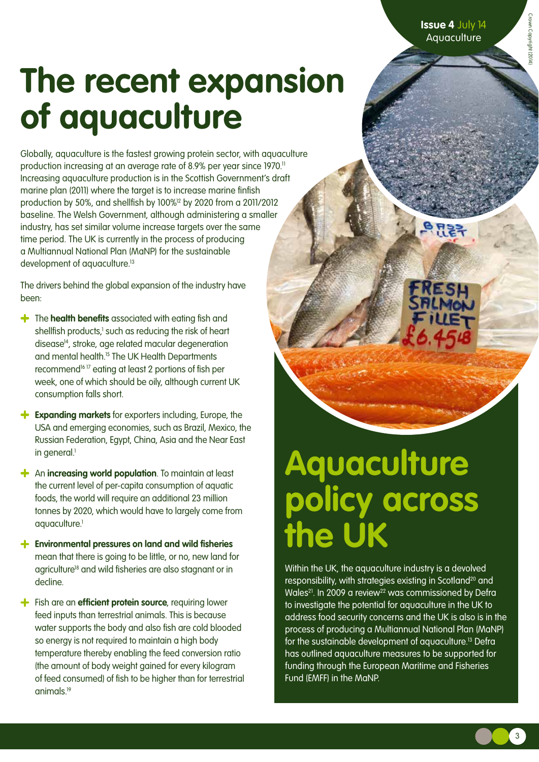Crown Copyright (201-Crown Copyright (2014)

# **The recent expansion of aquaculture**

Globally, aquaculture is the fastest growing protein sector, with aquaculture production increasing at an average rate of 8.9% per year since 1970.11 Increasing aquaculture production is in the Scottish Government's draft marine plan (2011) where the target is to increase marine finfish production by 50%, and shellfish by 100%12 by 2020 from a 2011/2012 baseline. The Welsh Government, although administering a smaller industry, has set similar volume increase targets over the same time period. The UK is currently in the process of producing a Multiannual National Plan (MaNP) for the sustainable development of aquaculture.<sup>13</sup>

The drivers behind the global expansion of the industry have been:

- **+** The **health benefits** associated with eating fish and shellfish products,<sup>1</sup> such as reducing the risk of heart disease14, stroke, age related macular degeneration and mental health.15 The UK Health Departments recommend<sup>1617</sup> eating at least 2 portions of fish per week, one of which should be oily, although current UK consumption falls short.
- **Expanding markets** for exporters including, Europe, the USA and emerging economies, such as Brazil, Mexico, the Russian Federation, Egypt, China, Asia and the Near East in general.<sup>1</sup>
- An **increasing world population**. To maintain at least the current level of per-capita consumption of aquatic foods, the world will require an additional 23 million tonnes by 2020, which would have to largely come from aquaculture.<sup>1</sup>
- **Environmental pressures on land and wild fisheries** mean that there is going to be little, or no, new land for agriculture<sup>18</sup> and wild fisheries are also stagnant or in decline.
- **f** Fish are an **efficient protein source**, requiring lower feed inputs than terrestrial animals. This is because water supports the body and also fish are cold blooded so energy is not required to maintain a high body temperature thereby enabling the feed conversion ratio (the amount of body weight gained for every kilogram of feed consumed) of fish to be higher than for terrestrial animals.19

## **Aquaculture policy across the UK**

Within the UK, the aquaculture industry is a devolved responsibility, with strategies existing in Scotland<sup>20</sup> and Wales<sup>21</sup>. In 2009 a review<sup>22</sup> was commissioned by Defra to investigate the potential for aquaculture in the UK to address food security concerns and the UK is also is in the process of producing a Multiannual National Plan (MaNP) for the sustainable development of aquaculture.13 Defra has outlined aquaculture measures to be supported for funding through the European Maritime and Fisheries Fund (EMFF) in the MaNP.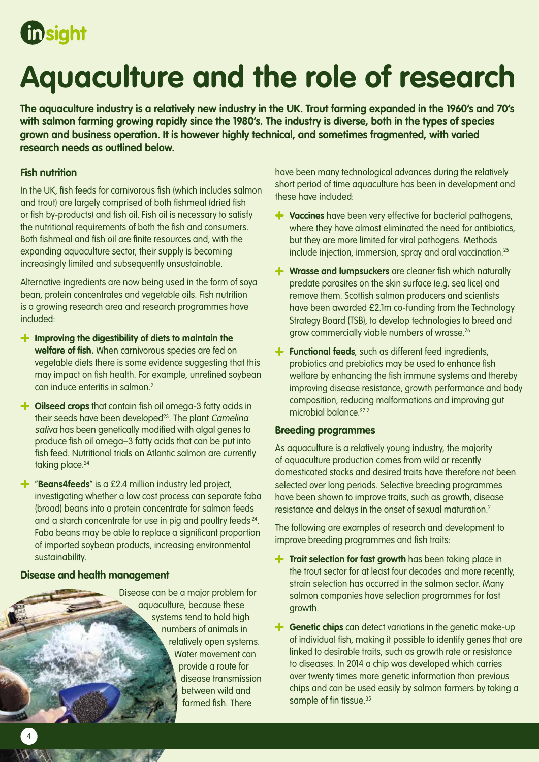## **in** sight

## **Aquaculture and the role of research**

**The aquaculture industry is a relatively new industry in the UK. Trout farming expanded in the 1960's and 70's with salmon farming growing rapidly since the 1980's. The industry is diverse, both in the types of species grown and business operation. It is however highly technical, and sometimes fragmented, with varied research needs as outlined below.** 

#### **Fish nutrition**

In the UK, fish feeds for carnivorous fish (which includes salmon and trout) are largely comprised of both fishmeal (dried fish or fish by-products) and fish oil. Fish oil is necessary to satisfy the nutritional requirements of both the fish and consumers. Both fishmeal and fish oil are finite resources and, with the expanding aquaculture sector, their supply is becoming increasingly limited and subsequently unsustainable.

Alternative ingredients are now being used in the form of soya bean, protein concentrates and vegetable oils. Fish nutrition is a growing research area and research programmes have included:

- **Improving the digestibility of diets to maintain the welfare of fish.** When carnivorous species are fed on vegetable diets there is some evidence suggesting that this may impact on fish health. For example, unrefined soybean can induce enteritis in salmon<sup>2</sup>
- $\div$  **Oilseed crops** that contain fish oil omega-3 fatty acids in their seeds have been developed<sup>23</sup>. The plant Camelina sativa has been genetically modified with algal genes to produce fish oil omega–3 fatty acids that can be put into fish feed. Nutritional trials on Atlantic salmon are currently taking place.<sup>24</sup>
- "**Beans4feeds**" is a £2.4 million industry led project, investigating whether a low cost process can separate faba (broad) beans into a protein concentrate for salmon feeds and a starch concentrate for use in pig and poultry feeds  $24$ . Faba beans may be able to replace a significant proportion of imported soybean products, increasing environmental sustainability.

#### **Disease and health management**

Disease can be a major problem for aquaculture, because these systems tend to hold high numbers of animals in relatively open systems. Water movement can provide a route for disease transmission between wild and farmed fish. There

have been many technological advances during the relatively short period of time aquaculture has been in development and these have included:

- **Vaccines** have been very effective for bacterial pathogens, where they have almost eliminated the need for antibiotics, but they are more limited for viral pathogens. Methods include injection, immersion, spray and oral vaccination.25
- **Wrasse and lumpsuckers** are cleaner fish which naturally predate parasites on the skin surface (e.g. sea lice) and remove them. Scottish salmon producers and scientists have been awarded £2.1m co-funding from the Technology Strategy Board (TSB), to develop technologies to breed and grow commercially viable numbers of wrasse.26
- **f** Functional feeds, such as different feed ingredients, probiotics and prebiotics may be used to enhance fish welfare by enhancing the fish immune systems and thereby improving disease resistance, growth performance and body composition, reducing malformations and improving gut microbial balance  $272$

#### **Breeding programmes**

As aquaculture is a relatively young industry, the majority of aquaculture production comes from wild or recently domesticated stocks and desired traits have therefore not been selected over long periods. Selective breeding programmes have been shown to improve traits, such as growth, disease resistance and delays in the onset of sexual maturation.<sup>2</sup>

The following are examples of research and development to improve breeding programmes and fish traits:

- **Trait selection for fast growth** has been taking place in the trout sector for at least four decades and more recently, strain selection has occurred in the salmon sector. Many salmon companies have selection programmes for fast growth.
- **f** Genetic chips can detect variations in the genetic make-up of individual fish, making it possible to identify genes that are linked to desirable traits, such as growth rate or resistance to diseases. In 2014 a chip was developed which carries over twenty times more genetic information than previous chips and can be used easily by salmon farmers by taking a sample of fin tissue.<sup>35</sup>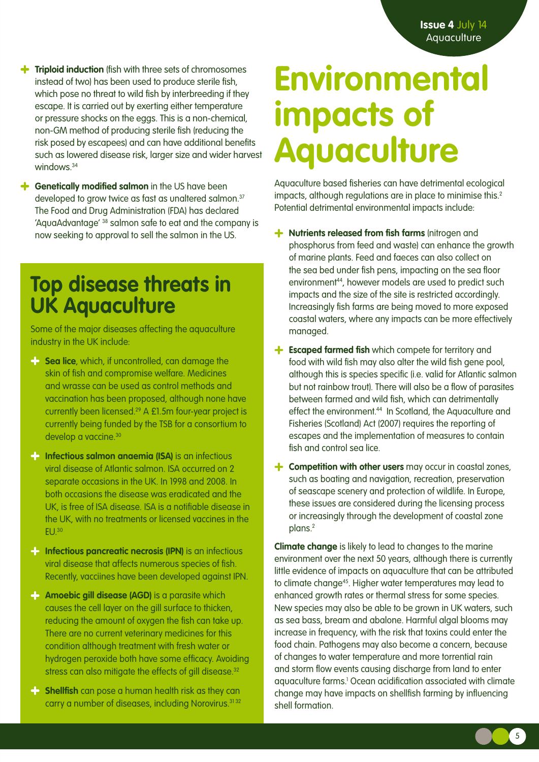- **Triploid induction** (fish with three sets of chromosomes instead of two) has been used to produce sterile fish, which pose no threat to wild fish by interbreeding if they escape. It is carried out by exerting either temperature or pressure shocks on the eggs. This is a non-chemical, non-GM method of producing sterile fish (reducing the risk posed by escapees) and can have additional benefits such as lowered disease risk, larger size and wider harvest windows<sup>34</sup>
- **f** Genetically modified salmon in the US have been developed to grow twice as fast as unaltered salmon.<sup>37</sup> The Food and Drug Administration (FDA) has declared 'AquaAdvantage' 38 salmon safe to eat and the company is now seeking to approval to sell the salmon in the US.

### **Top disease threats in UK Aquaculture**

Some of the major diseases affecting the aquaculture industry in the UK include:

- **Sea lice**, which, if uncontrolled, can damage the skin of fish and compromise welfare. Medicines and wrasse can be used as control methods and vaccination has been proposed, although none have currently been licensed.29 A £1.5m four-year project is currently being funded by the TSB for a consortium to develop a vaccine.<sup>30</sup>
- **Infectious salmon anaemia (ISA)** is an infectious viral disease of Atlantic salmon. ISA occurred on 2 separate occasions in the UK. In 1998 and 2008. In both occasions the disease was eradicated and the UK, is free of ISA disease. ISA is a notifiable disease in the UK, with no treatments or licensed vaccines in the  $EU<sub>30</sub>$
- **Infectious pancreatic necrosis (IPN)** is an infectious viral disease that affects numerous species of fish. Recently, vacciines have been developed against IPN.
- **Amoebic gill disease (AGD)** is a parasite which causes the cell layer on the gill surface to thicken, reducing the amount of oxygen the fish can take up. There are no current veterinary medicines for this condition although treatment with fresh water or hydrogen peroxide both have some efficacy. Avoiding stress can also mitigate the effects of gill disease.<sup>32</sup>
- **Shellfish** can pose a human health risk as they can carry a number of diseases, including Norovirus.<sup>3132</sup>

## **Environmental impacts of Aquaculture**

Aquaculture based fisheries can have detrimental ecological impacts, although regulations are in place to minimise this.<sup>2</sup> Potential detrimental environmental impacts include:

- **+** Nutrients released from fish farms (nitrogen and phosphorus from feed and waste) can enhance the growth of marine plants. Feed and faeces can also collect on the sea bed under fish pens, impacting on the sea floor environment<sup>44</sup>, however models are used to predict such impacts and the size of the site is restricted accordingly. Increasingly fish farms are being moved to more exposed coastal waters, where any impacts can be more effectively managed.
- **Escaped farmed fish** which compete for territory and food with wild fish may also alter the wild fish gene pool, although this is species specific (i.e. valid for Atlantic salmon but not rainbow trout). There will also be a flow of parasites between farmed and wild fish, which can detrimentally effect the environment.<sup>44</sup> In Scotland, the Aquaculture and Fisheries (Scotland) Act (2007) requires the reporting of escapes and the implementation of measures to contain fish and control sea lice.
- **f Competition with other users** may occur in coastal zones, such as boating and navigation, recreation, preservation of seascape scenery and protection of wildlife. In Europe, these issues are considered during the licensing process or increasingly through the development of coastal zone plans.2

**Climate change** is likely to lead to changes to the marine environment over the next 50 years, although there is currently little evidence of impacts on aquaculture that can be attributed to climate change<sup>45</sup>. Higher water temperatures may lead to enhanced growth rates or thermal stress for some species. New species may also be able to be grown in UK waters, such as sea bass, bream and abalone. Harmful algal blooms may increase in frequency, with the risk that toxins could enter the food chain. Pathogens may also become a concern, because of changes to water temperature and more torrential rain and storm flow events causing discharge from land to enter aquaculture farms.1 Ocean acidification associated with climate change may have impacts on shellfish farming by influencing shell formation.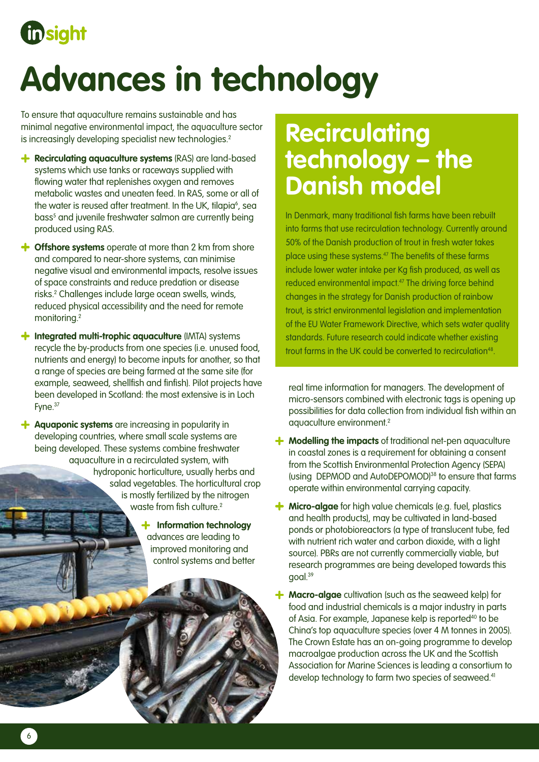## **in** sight

# **Advances in technology**

To ensure that aquaculture remains sustainable and has minimal negative environmental impact, the aquaculture sector is increasingly developing specialist new technologies.<sup>2</sup>

- **+** Recirculating aquaculture systems (RAS) are land-based systems which use tanks or raceways supplied with flowing water that replenishes oxygen and removes metabolic wastes and uneaten feed. In RAS, some or all of the water is reused after treatment. In the UK, tilapia<sup>6</sup>, sea bass<sup>5</sup> and juvenile freshwater salmon are currently being produced using RAS.
- **+ Offshore systems** operate at more than 2 km from shore and compared to near-shore systems, can minimise negative visual and environmental impacts, resolve issues of space constraints and reduce predation or disease risks.2 Challenges include large ocean swells, winds, reduced physical accessibility and the need for remote monitoring.2
- $\uparrow$  **Integrated multi-trophic aquaculture** (IMTA) systems recycle the by-products from one species (i.e. unused food, nutrients and energy) to become inputs for another, so that a range of species are being farmed at the same site (for example, seaweed, shellfish and finfish). Pilot projects have been developed in Scotland: the most extensive is in Loch Fyne.37
- **Aquaponic systems** are increasing in popularity in developing countries, where small scale systems are being developed. These systems combine freshwater aquaculture in a recirculated system, with hydroponic horticulture, usually herbs and salad vegetables. The horticultural crop is mostly fertilized by the nitrogen waste from fish culture.<sup>2</sup>
	- **Information technology**  advances are leading to improved monitoring and control systems and better

## **Recirculating technology – the Danish model**

In Denmark, many traditional fish farms have been rebuilt into farms that use recirculation technology. Currently around 50% of the Danish production of trout in fresh water takes place using these systems.47 The benefits of these farms include lower water intake per Kg fish produced, as well as reduced environmental impact.<sup>47</sup> The driving force behind changes in the strategy for Danish production of rainbow trout, is strict environmental legislation and implementation of the EU Water Framework Directive, which sets water quality standards. Future research could indicate whether existing trout farms in the UK could be converted to recirculation<sup>48</sup>.

real time information for managers. The development of micro-sensors combined with electronic tags is opening up possibilities for data collection from individual fish within an aquaculture environment.2

- $\uparrow$  **Modelling the impacts** of traditional net-pen aquaculture in coastal zones is a requirement for obtaining a consent from the Scottish Environmental Protection Agency (SEPA) (using DEPMOD and AutoDEPOMOD)38 to ensure that farms operate within environmental carrying capacity.
- **Micro-algae** for high value chemicals (e.g. fuel, plastics and health products), may be cultivated in land-based ponds or photobioreactors (a type of translucent tube, fed with nutrient rich water and carbon dioxide, with a light source). PBRs are not currently commercially viable, but research programmes are being developed towards this goal.39
- **Macro-algae** cultivation (such as the seaweed kelp) for food and industrial chemicals is a major industry in parts of Asia. For example, Japanese kelp is reported<sup>40</sup> to be China's top aquaculture species (over 4 M tonnes in 2005). The Crown Estate has an on-going programme to develop macroalgae production across the UK and the Scottish Association for Marine Sciences is leading a consortium to develop technology to farm two species of seaweed.<sup>41</sup>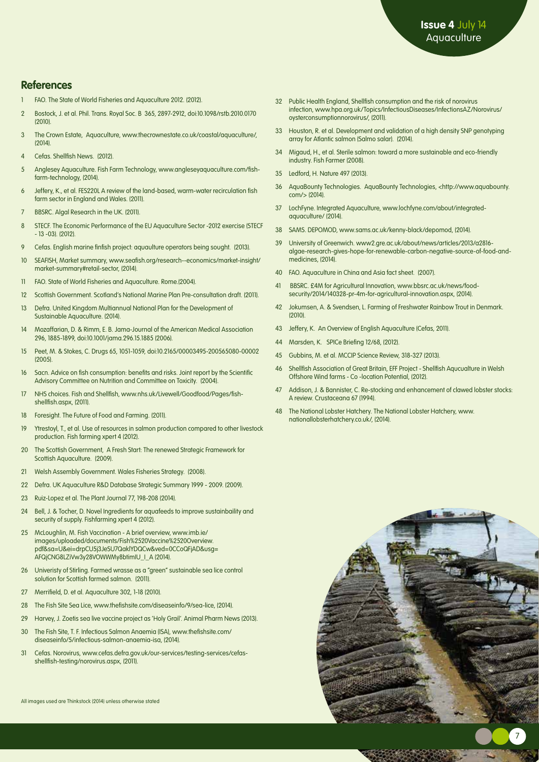#### **References**

- 1 FAO. The State of World Fisheries and Aquaculture 2012. (2012).
- 2 Bostock, J. et al. Phil. Trans. Royal Soc. B 365, 2897-2912, doi:10.1098/rstb.2010.0170  $(2010)$
- 3 The Crown Estate, Aquaculture, www.thecrownestate.co.uk/coastal/aquaculture/,  $(2014)$
- 4 Cefas. Shellfish News. (2012).
- 5 Anglesey Aquaculture. Fish Farm Technology, www.angleseyaquaculture.com/fishfarm-technology, (2014).
- 6 Jeffery, K., et al. FES220L A review of the land-based, warm-water recirculation fish farm sector in England and Wales. (2011).
- 7 BBSRC. Algal Research in the UK. (2011).
- 8 STECF. The Economic Performance of the EU Aquaculture Sector -2012 exercise (STECF - 13 -03). (2012).
- 9 Cefas. English marine finfish project: aquaulture operators being sought. (2013).
- 10 SEAFISH, Market summary, www.seafish.org/research--economics/market-insight/ market-summary#retail-sector, (2014).
- 11 FAO. State of World Fisheries and Aquaculture. Rome.(2004).
- 12 Scottish Government. Scotland's National Marine Plan Pre-consultation draft. (2011).
- 13 Defra. United Kingdom Multiannual National Plan for the Development of Sustainable Aquaculture. (2014).
- 14 Mozaffarian, D. & Rimm, E. B. Jama-Journal of the American Medical Association 296, 1885-1899, doi:10.1001/jama.296.15.1885 (2006).
- 15 Peet, M. & Stokes, C. Drugs 65, 1051-1059, doi:10.2165/00003495-200565080-00002  $(200.5)$
- 16 Sacn. Advice on fish consumption: benefits and risks. Joint report by the Scientific Advisory Committee on Nutrition and Committee on Toxicity. (2004).
- 17 NHS choices. Fish and Shellfish, www.nhs.uk/Livewell/Goodfood/Pages/fishshellfish.aspx, (2011).
- 18 Foresight. The Future of Food and Farming. (2011).
- 19 Ytrestoyl, T., et al. Use of resources in salmon production compared to other livestock production. Fish farming xpert 4 (2012).
- 20 The Scottish Government, A Fresh Start: The renewed Strategic Framework for Scottish Aquaculture. (2009).
- 21 Welsh Assembly Government. Wales Fisheries Strategy. (2008).
- 22 Defra. UK Aquaculture R&D Database Strategic Summary 1999 2009. (2009).
- 23 Ruiz-Lopez et al. The Plant Journal 77, 198-208 (2014).
- 24 Bell, J. & Tocher, D. Novel Ingredients for aquafeeds to improve sustainbaility and security of supply. Fishfarming xpert 4 (2012).
- 25 McLoughlin, M. Fish Vaccination A brief overview, www.imb.ie/ images/uploaded/documents/Fish%2520Vaccine%2520Overview. pdf&sa=U&ei=drpCU5j3JeSU7QaklYDQCw&ved=0CCoQFjAD&usg= AFQjCNG8LZiVw3y28VOWWMy8btimIU\_I\_A (2014).
- 26 Univeristy of Stirling. Farmed wrasse as a "green" sustainable sea lice control solution for Scottish farmed salmon. (2011).
- 27 Merrifield, D. et al. Aquaculture 302, 1-18 (2010).
- 28 The Fish Site Sea Lice, www.thefishsite.com/diseaseinfo/9/sea-lice, (2014).
- 29 Harvey, J. Zoetis sea live vaccine project as 'Holy Grail'. Animal Pharm News (2013).
- 30 The Fish Site, T. F. Infectious Salmon Anaemia (ISA), www.thefishsite.com/ diseaseinfo/5/infectious-salmon-anaemia-isa, (2014).
- 31 Cefas. Norovirus, www.cefas.defra.gov.uk/our-services/testing-services/cefasshellfish-testing/norovirus.aspx, (2011).
- 32 Public Health England, Shellfish consumption and the risk of norovirus infection, www.hpa.org.uk/Topics/InfectiousDiseases/InfectionsAZ/Norovirus/ oysterconsumptionnorovirus/, (2011).
- 33 Houston, R. et al. Development and validation of a high density SNP genotyping array for Atlantic salmon (Salmo salar). (2014).
- 34 Migaud, H., et al. Sterile salmon: toward a more sustainable and eco-friendly industry. Fish Farmer (2008).
- 35 Ledford, H. Nature 497 (2013).
- 36 AquaBounty Technologies. AquaBounty Technologies, <http://www.aquabounty. com/> (2014).
- 37 LochFyne. Integrated Aquaculture, www.lochfyne.com/about/integratedaquaculture/ (2014).
- 38 SAMS. DEPOMOD, www.sams.ac.uk/kenny-black/depomod, (2014).
- 39 University of Greenwich. www2.gre.ac.uk/about/news/articles/2013/a2816algae-research-gives-hope-for-renewable-carbon-negative-source-of-food-andmedicines, (2014).
- 40 FAO. Aquaculture in China and Asia fact sheet. (2007).
- 41 BBSRC. £4M for Agricultural Innovation, www.bbsrc.ac.uk/news/foodsecurity/2014/140328-pr-4m-for-agricultural-innovation.aspx, (2014).
- 42 Jokumsen, A. & Svendsen, L. Farming of Freshwater Rainbow Trout in Denmark.  $(2010)$
- 43 Jeffery, K. An Overview of English Aquaculture (Cefas, 2011).
- 44 Marsden, K. SPICe Briefing 12/68, (2012).
- 45 Gubbins, M. et al. MCCIP Science Review, 318-327 (2013).
- 46 Shellfish Association of Great Britain, EFF Project Shellfish Aqucualture in Welsh Offshore Wind farms - Co -location Potential, (2012).
- 47 Addison, J. & Bannister, C. Re-stocking and enhancement of clawed lobster stocks: A review. Crustaceana 67 (1994).
- 48 The National Lobster Hatchery. The National Lobster Hatchery, www. nationallobsterhatchery.co.uk/, (2014).